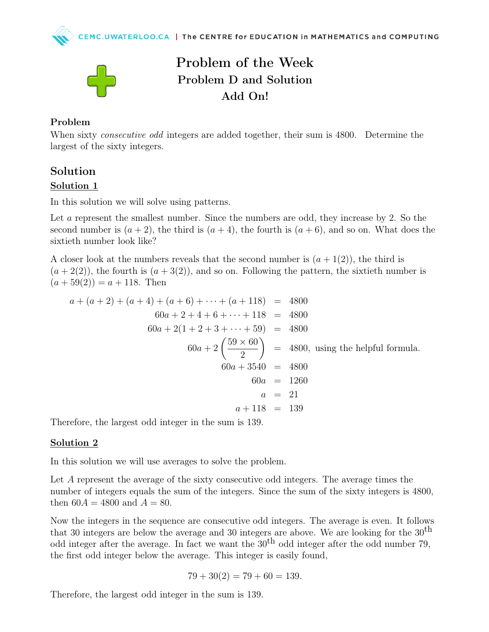



# Problem of the Week Problem D and Solution Add On!

#### Problem

When sixty *consecutive odd* integers are added together, their sum is 4800. Determine the largest of the sixty integers.

## Solution Solution 1

In this solution we will solve using patterns.

Let a represent the smallest number. Since the numbers are odd, they increase by 2. So the second number is  $(a + 2)$ , the third is  $(a + 4)$ , the fourth is  $(a + 6)$ , and so on. What does the sixtieth number look like?

A closer look at the numbers reveals that the second number is  $(a+1(2))$ , the third is  $(a + 2(2))$ , the fourth is  $(a + 3(2))$ , and so on. Following the pattern, the sixtieth number is  $(a + 59(2)) = a + 118$ . Then

$$
a + (a + 2) + (a + 4) + (a + 6) + \dots + (a + 118) = 4800
$$
  
\n
$$
60a + 2 + 4 + 6 + \dots + 118 = 4800
$$
  
\n
$$
60a + 2(1 + 2 + 3 + \dots + 59) = 4800
$$
  
\n
$$
60a + 2\left(\frac{59 \times 60}{2}\right) = 4800
$$
, using the helpful formula.  
\n
$$
60a + 3540 = 4800
$$
  
\n
$$
60a = 1260
$$
  
\n
$$
a = 21
$$
  
\n
$$
a + 118 = 139
$$

Therefore, the largest odd integer in the sum is 139.

### Solution 2

In this solution we will use averages to solve the problem.

Let A represent the average of the sixty consecutive odd integers. The average times the number of integers equals the sum of the integers. Since the sum of the sixty integers is 4800, then  $60A = 4800$  and  $A = 80$ .

Now the integers in the sequence are consecutive odd integers. The average is even. It follows that 30 integers are below the average and 30 integers are above. We are looking for the  $30<sup>th</sup>$ odd integer after the average. In fact we want the  $30<sup>th</sup>$  odd integer after the odd number 79, the first odd integer below the average. This integer is easily found,

$$
79 + 30(2) = 79 + 60 = 139.
$$

Therefore, the largest odd integer in the sum is 139.